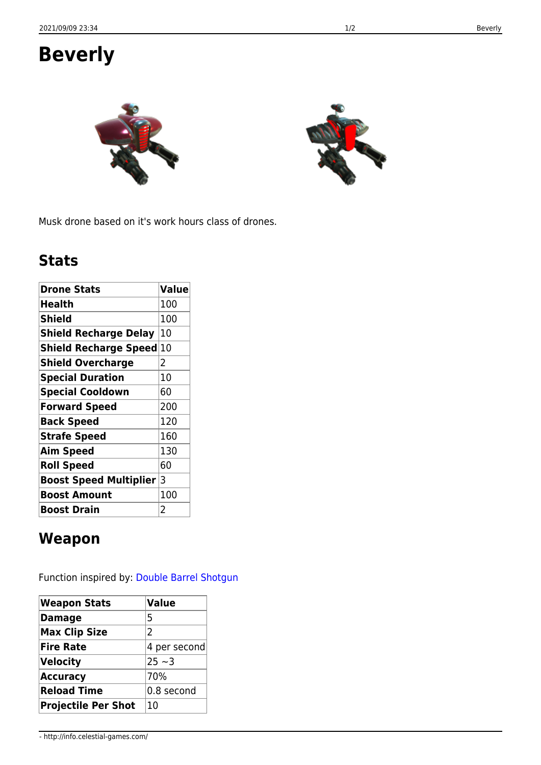## **Beverly**

Musk drone based on it's work hours class of drones.

## **Stats**

| <b>Drone Stats</b>            | <b>Value</b> |
|-------------------------------|--------------|
| Health                        | 100          |
| Shield                        | 100          |
| <b>Shield Recharge Delay</b>  | 10           |
| Shield Recharge Speed         | 10           |
| <b>Shield Overcharge</b>      | 2            |
| <b>Special Duration</b>       | 10           |
| <b>Special Cooldown</b>       | 60           |
| <b>Forward Speed</b>          | 200          |
| <b>Back Speed</b>             | 120          |
| <b>Strafe Speed</b>           | 160          |
| <b>Aim Speed</b>              | 130          |
| <b>Roll Speed</b>             | 60           |
| <b>Boost Speed Multiplier</b> | 3            |
| <b>Boost Amount</b>           | 100          |
| <b>Boost Drain</b>            | 2            |

## **Weapon**

Function inspired by: [Double Barrel Shotgun](https://en.wikipedia.org/wiki/Double-barreled_shotgun)

| <b>Weapon Stats</b>        | <b>Value</b>  |  |
|----------------------------|---------------|--|
| <b>Damage</b>              | 5             |  |
| <b>Max Clip Size</b>       | $\mathcal{P}$ |  |
| <b>Fire Rate</b>           | 4 per second  |  |
| Velocity                   | $ 25 - 3$     |  |
| <b>Accuracy</b>            | 70%           |  |
| <b>Reload Time</b>         | 0.8 second    |  |
| <b>Projectile Per Shot</b> | 10            |  |